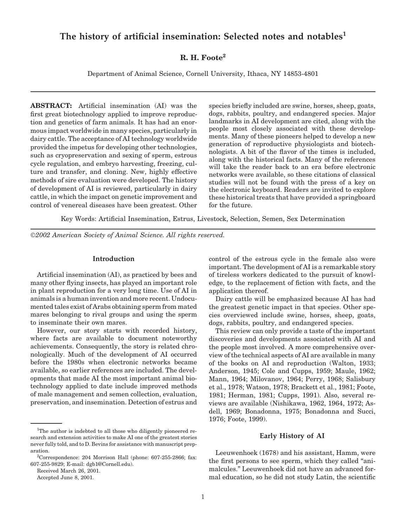# **The history of artificial insemination: Selected notes and notables1**

## **R. H. Foote2**

Department of Animal Science, Cornell University, Ithaca, NY 14853-4801

**ABSTRACT:** Artificial insemination (AI) was the first great biotechnology applied to improve reproduction and genetics of farm animals. It has had an enormous impact worldwide in many species, particularly in dairy cattle. The acceptance of AI technology worldwide provided the impetus for developing other technologies, such as cryopreservation and sexing of sperm, estrous cycle regulation, and embryo harvesting, freezing, culture and transfer, and cloning. New, highly effective methods of sire evaluation were developed. The history of development of AI is reviewed, particularly in dairy cattle, in which the impact on genetic improvement and control of venereal diseases have been greatest. Other species briefly included are swine, horses, sheep, goats, dogs, rabbits, poultry, and endangered species. Major landmarks in AI development are cited, along with the people most closely associated with these developments. Many of these pioneers helped to develop a new generation of reproductive physiologists and biotechnologists. A bit of the flavor of the times is included, along with the historical facts. Many of the references will take the reader back to an era before electronic networks were available, so these citations of classical studies will not be found with the press of a key on the electronic keyboard. Readers are invited to explore these historical treats that have provided a springboard for the future.

Key Words: Artificial Insemination, Estrus, Livestock, Selection, Semen, Sex Determination

*2002 American Society of Animal Science. All rights reserved.*

#### **Introduction**

Artificial insemination (AI), as practiced by bees and many other flying insects, has played an important role in plant reproduction for a very long time. Use of AI in animals is a human invention and more recent. Undocumented tales exist of Arabs obtaining sperm from mated mares belonging to rival groups and using the sperm to inseminate their own mares.

However, our story starts with recorded history, where facts are available to document noteworthy achievements. Consequently, the story is related chronologically. Much of the development of AI occurred before the 1980s when electronic networks became available, so earlier references are included. The developments that made AI the most important animal biotechnology applied to date include improved methods of male management and semen collection, evaluation, preservation, and insemination. Detection of estrus and

Received March 26, 2001.

Accepted June 8, 2001.

control of the estrous cycle in the female also were important. The development of AI is a remarkable story of tireless workers dedicated to the pursuit of knowledge, to the replacement of fiction with facts, and the application thereof.

Dairy cattle will be emphasized because AI has had the greatest genetic impact in that species. Other species overviewed include swine, horses, sheep, goats, dogs, rabbits, poultry, and endangered species.

This review can only provide a taste of the important discoveries and developments associated with AI and the people most involved. A more comprehensive overview of the technical aspects of AI are available in many of the books on AI and reproduction (Walton, 1933; Anderson, 1945; Cole and Cupps, 1959; Maule, 1962; Mann, 1964; Milovanov, 1964; Perry, 1968; Salisbury et al., 1978; Watson, 1978; Brackett et al., 1981; Foote, 1981; Herman, 1981; Cupps, 1991). Also, several reviews are available (Nishikawa, 1962, 1964, 1972; Asdell, 1969; Bonadonna, 1975; Bonadonna and Succi, 1976; Foote, 1999).

## **Early History of AI**

Leeuwenhoek (1678) and his assistant, Hamm, were the first persons to see sperm, which they called "animalcules." Leeuwenhoek did not have an advanced formal education, so he did not study Latin, the scientific

<sup>&</sup>lt;sup>1</sup>The author is indebted to all those who diligently pioneered research and extension activities to make AI one of the greatest stories never fully told, and to D. Bevins for assistance with manuscript preparation.

 $2^2$ Correspondence: 204 Morrison Hall (phone: 607-255-2866; fax: 607-255-9829; E-mail: dgb1@Cornell.edu).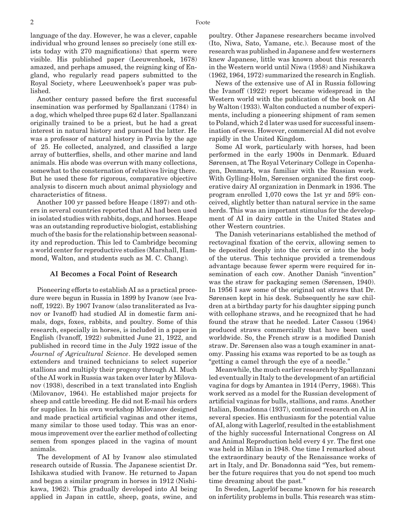language of the day. However, he was a clever, capable individual who ground lenses so precisely (one still exists today with 270 magnifications) that sperm were visible. His published paper (Leeuwenhoek, 1678) amazed, and perhaps amused, the reigning king of England, who regularly read papers submitted to the Royal Society, where Leeuwenhoek's paper was published.

Another century passed before the first successful insemination was performed by Spallanzani (1784) in a dog, which whelped three pups 62 d later. Spallanzani originally trained to be a priest, but he had a great interest in natural history and pursued the latter. He was a professor of natural history in Pavia by the age of 25. He collected, analyzed, and classified a large array of butterflies, shells, and other marine and land animals. His abode was overrun with many collections, somewhat to the consternation of relatives living there. But he used these for rigorous, comparative objective analysis to discern much about animal physiology and characteristics of fitness.

Another 100 yr passed before Heape (1897) and others in several countries reported that AI had been used in isolated studies with rabbits, dogs, and horses. Heape was an outstanding reproductive biologist, establishing much of the basis for the relationship between seasonality and reproduction. This led to Cambridge becoming a world center for reproductive studies (Marshall, Hammond, Walton, and students such as M. C. Chang).

## **AI Becomes a Focal Point of Research**

Pioneering efforts to establish AI as a practical procedure were begun in Russia in 1899 by Ivanow (see Ivanoff, 1922). By 1907 Ivanow (also transliterated as Ivanov or Ivanoff) had studied AI in domestic farm animals, dogs, foxes, rabbits, and poultry. Some of this research, especially in horses, is included in a paper in English (Ivanoff, 1922) submitted June 21, 1922, and published in record time in the July 1922 issue of the *Journal of Agricultural Science*. He developed semen extenders and trained technicians to select superior stallions and multiply their progeny through AI. Much of the AI work in Russia was taken over later by Milovanov (1938), described in a text translated into English (Milovanov, 1964). He established major projects for sheep and cattle breeding. He did not E-mail his orders for supplies. In his own workshop Milovanov designed and made practical artificial vaginas and other items, many similar to those used today. This was an enormous improvement over the earlier method of collecting semen from sponges placed in the vagina of mount animals.

The development of AI by Ivanow also stimulated research outside of Russia. The Japanese scientist Dr. Ishikawa studied with Ivanow. He returned to Japan and began a similar program in horses in 1912 (Nishikawa, 1962). This gradually developed into AI being applied in Japan in cattle, sheep, goats, swine, and

poultry. Other Japanese researchers became involved (Ito, Niwa, Sato, Yamane, etc.). Because most of the research was published in Japanese and few westerners knew Japanese, little was known about this research in the Western world until Niwa (1958) and Nishikawa (1962, 1964, 1972) summarized the research in English.

News of the extensive use of AI in Russia following the Ivanoff (1922) report became widespread in the Western world with the publication of the book on AI by Walton (1933). Walton conducted a number of experiments, including a pioneering shipment of ram semen to Poland, which 2 d later was used for successful insemination of ewes. However, commercial AI did not evolve rapidly in the United Kingdom.

Some AI work, particularly with horses, had been performed in the early 1900s in Denmark. Eduard Sørensen, at The Royal Veterinary College in Copenhagen, Denmark, was familiar with the Russian work. With Gylling-Holm, Sørensen organized the first cooperative dairy AI organization in Denmark in 1936. The program enrolled 1,070 cows the 1st yr and 59% conceived, slightly better than natural service in the same herds. This was an important stimulus for the development of AI in dairy cattle in the United States and other Western countries.

The Danish veterinarians established the method of rectovaginal fixation of the cervix, allowing semen to be deposited deeply into the cervix or into the body of the uterus. This technique provided a tremendous advantage because fewer sperm were required for insemination of each cow. Another Danish "invention" was the straw for packaging semen (Sørensen, 1940). In 1956 I saw some of the original oat straws that Dr. Sørensen kept in his desk. Subsequently he saw children at a birthday party for his daughter sipping punch with cellophane straws, and he recognized that he had found the straw that he needed. Later Cassou (1964) produced straws commercially that have been used worldwide. So, the French straw is a modified Danish straw. Dr. Sørensen also was a tough examiner in anatomy. Passing his exams was reported to be as tough as "getting a camel through the eye of a needle."

Meanwhile, the much earlier research by Spallanzani led eventually in Italy to the development of an artificial vagina for dogs by Amantea in 1914 (Perry, 1968). This work served as a model for the Russian development of artificial vaginas for bulls, stallions, and rams. Another Italian, Bonadonna (1937), continued research on AI in several species. His enthusiasm for the potential value of AI, along with Lagerlöf, resulted in the establishment of the highly successful International Congress on AI and Animal Reproduction held every 4 yr. The first one was held in Milan in 1948. One time I remarked about the extraordinary beauty of the Renaissance works of art in Italy, and Dr. Bonadonna said "Yes, but remember the future requires that you do not spend too much time dreaming about the past."

In Sweden, Lagerlöf became known for his research on infertility problems in bulls. This research was stim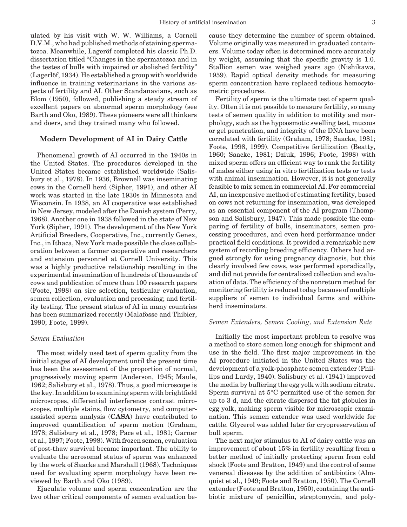ulated by his visit with W. W. Williams, a Cornell D.V.M., who had published methods of staining spermatozoa. Meanwhile, Lageröf completed his classic Ph.D. dissertation titled "Changes in the spermatozoa and in the testes of bulls with impaired or abolished fertility"  $(Lagerlöf, 1934)$ . He established a group with worldwide influence in training veterinarians in the various aspects of fertility and AI. Other Scandanavians, such as Blom (1950), followed, publishing a steady stream of excellent papers on abnormal sperm morphology (see Barth and Oko, 1989). These pioneers were all thinkers and doers, and they trained many who followed.

## **Modern Development of AI in Dairy Cattle**

Phenomenal growth of AI occurred in the 1940s in the United States. The procedures developed in the United States became established worldwide (Salisbury et al., 1978). In 1936, Brownell was inseminating cows in the Cornell herd (Sipher, 1991), and other AI work was started in the late 1930s in Minnesota and Wisconsin. In 1938, an AI cooperative was established in New Jersey, modeled after the Danish system (Perry, 1968). Another one in 1938 followed in the state of New York (Sipher, 1991). The development of the New York Artificial Breeders, Cooperative, Inc., currently Genex, Inc., in Ithaca, New York made possible the close collaboration between a farmer cooperative and researchers and extension personnel at Cornell University. This was a highly productive relationship resulting in the experimental insemination of hundreds of thousands of cows and publication of more than 100 research papers (Foote, 1998) on sire selection, testicular evaluation, semen collection, evaluation and processing; and fertility testing. The present status of AI in many countries has been summarized recently (Malafosse and Thibier, 1990; Foote, 1999).

#### *Semen Evaluation*

The most widely used test of sperm quality from the initial stages of AI development until the present time has been the assessment of the proportion of normal, progressively moving sperm (Anderson, 1945; Maule, 1962; Salisbury et al., 1978). Thus, a good microscope is the key. In addition to examining sperm with brightfield microscopes, differential interference contrast microscopes, multiple stains, flow cytometry, and computerassisted sperm analysis (**CASA**) have contributed to improved quantification of sperm motion (Graham, 1978; Salisbury et al., 1978; Pace et al., 1981; Garner et al., 1997; Foote, 1998). With frozen semen, evaluation of post-thaw survival became important. The ability to evaluate the acrosomal status of sperm was enhanced by the work of Saacke and Marshall (1968). Techniques used for evaluating sperm morphology have been reviewed by Barth and Oko (1989).

Ejaculate volume and sperm concentration are the two other critical components of semen evaluation because they determine the number of sperm obtained. Volume originally was measured in graduated containers. Volume today often is determined more accurately by weight, assuming that the specific gravity is 1.0. Stallion semen was weighed years ago (Nishikawa, 1959). Rapid optical density methods for measuring sperm concentration have replaced tedious hemocytometric procedures.

Fertility of sperm is the ultimate test of sperm quality. Often it is not possible to measure fertility, so many tests of semen quality in addition to motility and morphology, such as the hypoosmotic swelling test, mucous or gel penetration, and integrity of the DNA have been correlated with fertility (Graham, 1978; Saacke, 1981; Foote, 1998, 1999). Competitive fertilization (Beatty, 1960; Saacke, 1981; Dziuk, 1996; Foote, 1998) with mixed sperm offers an efficient way to rank the fertility of males either using in vitro fertilization tests or tests with animal insemination. However, it is not generally feasible to mix semen in commercial AI. For commercial AI, an inexpensive method of estimating fertility, based on cows not returning for insemination, was developed as an essential component of the AI program (Thompson and Salisbury, 1947). This made possible the comparing of fertility of bulls, inseminators, semen processing procedures, and even herd performance under practical field conditions. It provided a remarkable new system of recording breeding efficiency. Others had argued strongly for using pregnancy diagnosis, but this clearly involved few cows, was performed sporadically, and did not provide for centralized collection and evaluation of data. The efficiency of the nonreturn method for monitoring fertility is reduced today because of multiple suppliers of semen to individual farms and withinherd inseminators.

## *Semen Extenders, Semen Cooling, and Extension Rate*

Initially the most important problem to resolve was a method to store semen long enough for shipment and use in the field. The first major improvement in the AI procedure initiated in the United States was the development of a yolk-phosphate semen extender (Phillips and Lardy, 1940). Salisbury et al. (1941) improved the media by buffering the egg yolk with sodium citrate. Sperm survival at 5°C permitted use of the semen for up to 3 d, and the citrate dispersed the fat globules in egg yolk, making sperm visible for microscopic examination. This semen extender was used worldwide for cattle. Glycerol was added later for cryopreservation of bull sperm.

The next major stimulus to AI of dairy cattle was an improvement of about 15% in fertility resulting from a better method of initially protecting sperm from cold shock (Foote and Bratton, 1949) and the control of some venereal diseases by the addition of antibiotics (Almquist et al., 1949; Foote and Bratton, 1950). The Cornell extender (Foote and Bratton, 1950), containing the antibiotic mixture of penicillin, streptomycin, and poly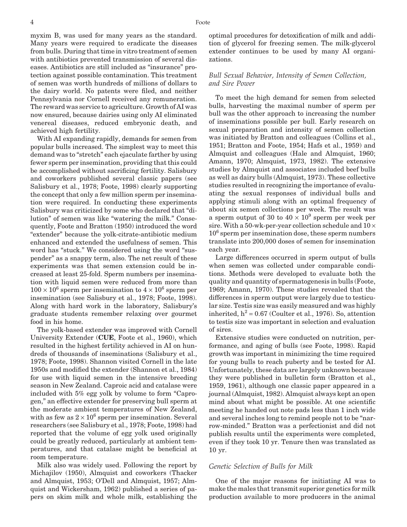myxim B, was used for many years as the standard. Many years were required to eradicate the diseases from bulls. During that time in vitro treatment of semen with antibiotics prevented transmission of several diseases. Antibiotics are still included as "insurance" protection against possible contamination. This treatment of semen was worth hundreds of millions of dollars to the dairy world. No patents were filed, and neither Pennsylvania nor Cornell received any remuneration. The reward was service to agriculture. Growth of AI was now ensured, because dairies using only AI eliminated venereal diseases, reduced embryonic death, and achieved high fertility.

With AI expanding rapidly, demands for semen from popular bulls increased. The simplest way to meet this demand was to "stretch" each ejaculate farther by using fewer sperm per insemination, providing that this could be accomplished without sacrificing fertility. Salisbury and coworkers published several classic papers (see Salisbury et al., 1978; Foote, 1998) clearly supporting the concept that only a few million sperm per insemination were required. In conducting these experiments Salisbury was criticized by some who declared that "dilution" of semen was like "watering the milk." Consequently, Foote and Bratton (1950) introduced the word "extender" because the yolk-citrate-antibiotic medium enhanced and extended the usefulness of semen. This word has "stuck." We considered using the word "suspender" as a snappy term, also. The net result of these experiments was that semen extension could be increased at least 25-fold. Sperm numbers per insemination with liquid semen were reduced from more than  $100 \times 10^6$  sperm per insemination to  $4 \times 10^6$  sperm per insemination (see Salisbury et al., 1978; Foote, 1998). Along with hard work in the laboratory, Salisbury's graduate students remember relaxing over gourmet food in his home.

The yolk-based extender was improved with Cornell University Extender (**CUE**, Foote et al., 1960), which resulted in the highest fertility achieved in AI on hundreds of thousands of inseminations (Salisbury et al., 1978; Foote, 1998). Shannon visited Cornell in the late 1950s and modified the extender (Shannon et al., 1984) for use with liquid semen in the intensive breeding season in New Zealand. Caproic acid and catalase were included with 5% egg yolk by volume to form "Caprogen," an effective extender for preserving bull sperm at the moderate ambient temperatures of New Zealand, with as few as  $2 \times 10^6$  sperm per insemination. Several researchers (see Salisbury et al., 1978; Foote, 1998) had reported that the volume of egg yolk used originally could be greatly reduced, particularly at ambient temperatures, and that catalase might be beneficial at room temperature.

Milk also was widely used. Following the report by Michajilov (1950), Almquist and coworkers (Thacker and Almquist, 1953; O'Dell and Almquist, 1957; Almquist and Wickersham, 1962) published a series of papers on skim milk and whole milk, establishing the optimal procedures for detoxification of milk and addition of glycerol for freezing semen. The milk-glycerol extender continues to be used by many AI organizations.

## *Bull Sexual Behavior, Intensity of Semen Collection, and Sire Power*

To meet the high demand for semen from selected bulls, harvesting the maximal number of sperm per bull was the other approach to increasing the number of inseminations possible per bull. Early research on sexual preparation and intensity of semen collection was initiated by Bratton and colleagues (Collins et al., 1951; Bratton and Foote, 1954; Hafs et al., 1959) and Almquist and colleagues (Hale and Almquist, 1960; Amann, 1970; Almquist, 1973, 1982). The extensive studies by Almquist and associates included beef bulls as well as dairy bulls (Almquist, 1973). These collective studies resulted in recognizing the importance of evaluating the sexual responses of individual bulls and applying stimuli along with an optimal frequency of about six semen collections per week. The result was a sperm output of 30 to  $40 \times 10^9$  sperm per week per sire. With a 50-wk-per-year collection schedule and  $10 \times$  $10<sup>6</sup>$  sperm per insemination dose, these sperm numbers translate into 200,000 doses of semen for insemination each year.

Large differences occurred in sperm output of bulls when semen was collected under comparable conditions. Methods were developed to evaluate both the quality and quantity of spermatogenesis in bulls (Foote, 1969; Amann, 1970). These studies revealed that the differences in sperm output were largely due to testicular size. Testis size was easily measured and was highly inherited,  $h^2 = 0.67$  (Coulter et al., 1976). So, attention to testis size was important in selection and evaluation of sires.

Extensive studies were conducted on nutrition, performance, and aging of bulls (see Foote, 1998). Rapid growth was important in minimizing the time required for young bulls to reach puberty and be tested for AI. Unfortunately, these data are largely unknown because they were published in bulletin form (Bratton et al., 1959, 1961), although one classic paper appeared in a journal (Almquist, 1982). Almquist always kept an open mind about what might be possible. At one scientific meeting he handed out note pads less than 1 inch wide and several inches long to remind people not to be "narrow-minded." Bratton was a perfectionist and did not publish results until the experiments were completed, even if they took 10 yr. Tenure then was translated as 10 yr.

## *Genetic Selection of Bulls for Milk*

One of the major reasons for initiating AI was to make the males that transmit superior genetics for milk production available to more producers in the animal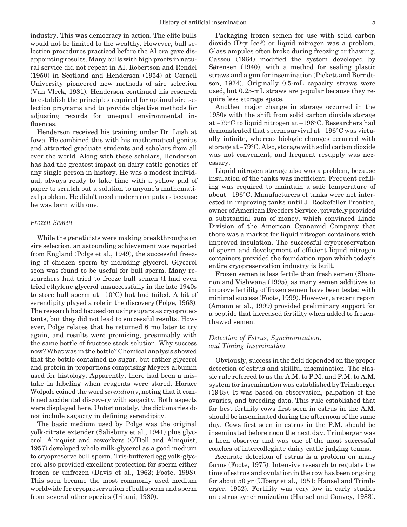industry. This was democracy in action. The elite bulls would not be limited to the wealthy. However, bull selection procedures practiced before the AI era gave disappointing results. Many bulls with high proofs in natural service did not repeat in AI. Robertson and Rendel (1950) in Scotland and Henderson (1954) at Cornell University pioneered new methods of sire selection (Van Vleck, 1981). Henderson continued his research to establish the principles required for optimal sire selection programs and to provide objective methods for adjusting records for unequal environmental influences.

Henderson received his training under Dr. Lush at Iowa. He combined this with his mathematical genius and attracted graduate students and scholars from all over the world. Along with these scholars, Henderson has had the greatest impact on dairy cattle genetics of any single person in history. He was a modest individual, always ready to take time with a yellow pad of paper to scratch out a solution to anyone's mathematical problem. He didn't need modern computers because he was born with one.

## *Frozen Semen*

While the geneticists were making breakthroughs on sire selection, an astounding achievement was reported from England (Polge et al., 1949), the successful freezing of chicken sperm by including glycerol. Glycerol soon was found to be useful for bull sperm. Many researchers had tried to freeze bull semen (I had even tried ethylene glycerol unsuccessfully in the late 1940s to store bull sperm at −10°C) but had failed. A bit of serendipity played a role in the discovery (Polge, 1968). The research had focused on using sugars as cryoprotectants, but they did not lead to successful results. However, Polge relates that he returned 6 mo later to try again, and results were promising, presumably with the same bottle of fructose stock solution. Why success now? What was in the bottle? Chemical analysis showed that the bottle contained no sugar, but rather glycerol and protein in proportions comprising Meyers albumin used for histology. Apparently, there had been a mistake in labeling when reagents were stored. Horace Wolpole coined the word *serendipity*, noting that it combined accidental discovery with sagacity. Both aspects were displayed here. Unfortunately, the dictionaries do not include sagacity in defining serendipity.

The basic medium used by Polge was the original yolk-citrate extender (Salisbury et al., 1941) plus glycerol. Almquist and coworkers (O'Dell and Almquist, 1957) developed whole milk-glycerol as a good medium to cryopreserve bull sperm. Tris-buffered egg yolk-glycerol also provided excellent protection for sperm either frozen or unfrozen (Davis et al., 1963; Foote, 1998). This soon became the most commonly used medium worldwide for cryopreservation of bull sperm and sperm from several other species (Iritani, 1980).

Packaging frozen semen for use with solid carbon dioxide (Dry Ice®) or liquid nitrogen was a problem. Glass ampules often broke during freezing or thawing. Cassou (1964) modified the system developed by Sørensen (1940), with a method for sealing plastic straws and a gun for insemination (Pickett and Berndtson, 1974). Originally 0.5-mL capacity straws were used, but 0.25-mL straws are popular because they require less storage space.

Another major change in storage occurred in the 1950s with the shift from solid carbon dioxide storage at −79°C to liquid nitrogen at −196°C. Researchers had demonstrated that sperm survival at −196°C was virtually infinite, whereas biologic changes occurred with storage at −79°C. Also, storage with solid carbon dioxide was not convenient, and frequent resupply was necessary.

Liquid nitrogen storage also was a problem, because insulation of the tanks was inefficient. Frequent refilling was required to maintain a safe temperature of about −196°C. Manufacturers of tanks were not interested in improving tanks until J. Rockefeller Prentice, owner of American Breeders Service, privately provided a substantial sum of money, which convinced Linde Division of the American Cyanamid Company that there was a market for liquid nitrogen containers with improved insulation. The successful cryopreservation of sperm and development of efficient liquid nitrogen containers provided the foundation upon which today's entire cryopreservation industry is built.

Frozen semen is less fertile than fresh semen (Shannon and Vishwana (1995), as many semen additives to improve fertility of frozen semen have been tested with minimal success (Foote, 1999). However, a recent report (Amann et al., 1999) provided preliminary support for a peptide that increased fertility when added to frozenthawed semen.

## *Detection of Estrus, Synchronization, and Timing Insemination*

Obviously, success in the field depended on the proper detection of estrus and skillful insemination. The classic rule referred to as the A.M. to P.M. and P.M. to A.M. system for insemination was established by Trimberger (1948). It was based on observation, palpation of the ovaries, and breeding data. This rule established that for best fertility cows first seen in estrus in the A.M. should be inseminated during the afternoon of the same day. Cows first seen in estrus in the P.M. should be inseminated before noon the next day. Trimberger was a keen observer and was one of the most successful coaches of intercollegiate dairy cattle judging teams.

Accurate detection of estrus is a problem on many farms (Foote, 1975). Intensive research to regulate the time of estrus and ovulation in the cow has been ongoing for about 50 yr (Ulberg et al., 1951; Hansel and Trimberger, 1952). Fertility was very low in early studies on estrus synchronization (Hansel and Convey, 1983).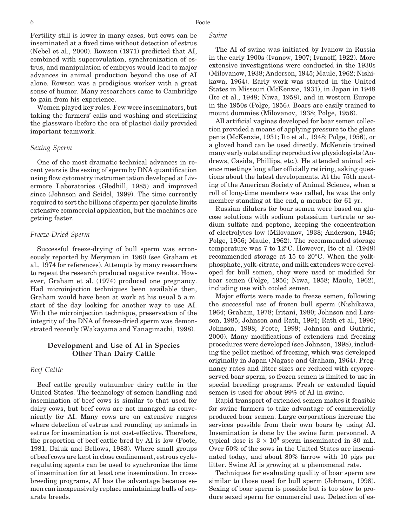Fertility still is lower in many cases, but cows can be inseminated at a fixed time without detection of estrus (Nebel et al., 2000). Rowson (1971) predicted that AI, combined with superovulation, synchronization of estrus, and manipulation of embryos would lead to major advances in animal production beyond the use of AI alone. Rowson was a prodigious worker with a great sense of humor. Many researchers came to Cambridge to gain from his experience.

Women played key roles. Few were inseminators, but taking the farmers' calls and washing and sterilizing the glassware (before the era of plastic) daily provided important teamwork.

#### *Sexing Sperm*

One of the most dramatic technical advances in recent years is the sexing of sperm by DNA quantification using flow cytometry instrumentation developed at Livermore Laboratories (Gledhill, 1985) and improved since (Johnson and Seidel, 1999). The time currently required to sort the billions of sperm per ejaculate limits extensive commercial application, but the machines are getting faster.

#### *Freeze-Dried Sperm*

Successful freeze-drying of bull sperm was erroneously reported by Meryman in 1960 (see Graham et al., 1974 for references). Attempts by many researchers to repeat the research produced negative results. However, Graham et al. (1974) produced one pregnancy. Had microinjection techniques been available then, Graham would have been at work at his usual 5 a.m. start of the day looking for another way to use AI. With the microinjection technique, preservation of the integrity of the DNA of freeze-dried sperm was demonstrated recently (Wakayama and Yanagimachi, 1998).

## **Development and Use of AI in Species Other Than Dairy Cattle**

#### *Beef Cattle*

Beef cattle greatly outnumber dairy cattle in the United States. The technology of semen handling and insemination of beef cows is similar to that used for dairy cows, but beef cows are not managed as conveniently for AI. Many cows are on extensive ranges where detection of estrus and rounding up animals in estrus for insemination is not cost-effective. Therefore, the proportion of beef cattle bred by AI is low (Foote, 1981; Dziuk and Bellows, 1983). Where small groups of beef cows are kept in close confinement, estrous cycleregulating agents can be used to synchronize the time of insemination for at least one insemination. In crossbreeding programs, AI has the advantage because semen can inexpensively replace maintaining bulls of separate breeds.

#### *Swine*

The AI of swine was initiated by Ivanow in Russia in the early 1900s (Ivanow, 1907; Ivanoff, 1922). More extensive investigations were conducted in the 1930s (Milovanow, 1938; Anderson, 1945; Maule, 1962; Nishikawa, 1964). Early work was started in the United States in Missouri (McKenzie, 1931), in Japan in 1948 (Ito et al., 1948; Niwa, 1958), and in western Europe in the 1950s (Polge, 1956). Boars are easily trained to mount dummies (Milovanov, 1938; Polge, 1956).

All artificial vaginas developed for boar semen collection provided a means of applying pressure to the glans penis (McKenzie, 1931; Ito et al., 1948; Polge, 1956), or a gloved hand can be used directly. McKenzie trained many early outstanding reproductive physiologists (Andrews, Casida, Phillips, etc.). He attended animal science meetings long after officially retiring, asking questions about the latest developments. At the 75th meeting of the American Society of Animal Science, when a roll of long-time members was called, he was the only member standing at the end, a member for 61 yr.

Russian diluters for boar semen were based on glucose solutions with sodium potassium tartrate or sodium sulfate and peptone, keeping the concentration of electrolytes low (Milovanov, 1938; Anderson, 1945; Polge, 1956; Maule, 1962). The recommended storage temperature was 7 to 12°C. However, Ito et al. (1948) recommended storage at 15 to 20°C. When the yolkphosphate, yolk-citrate, and milk extenders were developed for bull semen, they were used or modified for boar semen (Polge, 1956; Niwa, 1958; Maule, 1962), including use with cooled semen.

Major efforts were made to freeze semen, following the successful use of frozen bull sperm (Nishikawa, 1964; Graham, 1978; Iritani, 1980; Johnson and Larsson, 1985; Johnson and Rath, 1991; Rath et al., 1996; Johnson, 1998; Foote, 1999; Johnson and Guthrie, 2000). Many modifications of extenders and freezing procedures were developed (see Johnson, 1998), including the pellet method of freezing, which was developed originally in Japan (Nagase and Graham, 1964). Pregnancy rates and litter sizes are reduced with cryopreserved boar sperm, so frozen semen is limited to use in special breeding programs. Fresh or extended liquid semen is used for about 99% of AI in swine.

Rapid transport of extended semen makes it feasible for swine farmers to take advantage of commercially produced boar semen. Large corporations increase the services possible from their own boars by using AI. Insemination is done by the swine farm personnel. A typical dose is  $3 \times 10^9$  sperm inseminated in 80 mL. Over 50% of the sows in the United States are inseminated today, and about 80% farrow with 10 pigs per litter. Swine AI is growing at a phenomenal rate.

Techniques for evaluating quality of boar sperm are similar to those used for bull sperm (Johnson, 1998). Sexing of boar sperm is possible but is too slow to produce sexed sperm for commercial use. Detection of es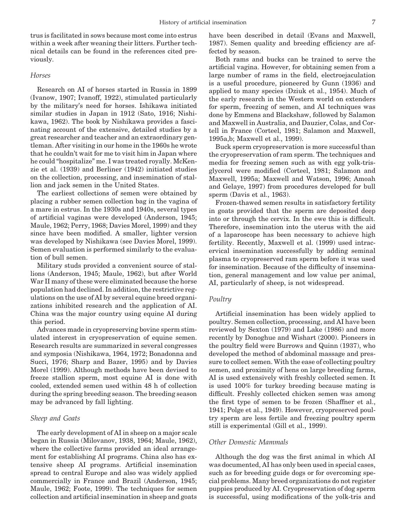trus is facilitated in sows because most come into estrus within a week after weaning their litters. Further technical details can be found in the references cited previously.

#### *Horses*

Research on AI of horses started in Russia in 1899 (Ivanow, 1907; Ivanoff, 1922), stimulated particularly by the military's need for horses. Ishikawa initiated similar studies in Japan in 1912 (Sato, 1916; Nishikawa, 1962). The book by Nishikawa provides a fascinating account of the extensive, detailed studies by a great researcher and teacher and an extraordinary gentleman. After visiting in our home in the 1960s he wrote that he couldn't wait for me to visit him in Japan where he could "hospitalize" me. I was treated royally. McKenzie et al. (1939) and Berliner (1942) initiated studies on the collection, processing, and insemination of stallion and jack semen in the United States.

The earliest collections of semen were obtained by placing a rubber semen collection bag in the vagina of a mare in estrus. In the 1930s and 1940s, several types of artificial vaginas were developed (Anderson, 1945; Maule, 1962; Perry, 1968; Davies Morel, 1999) and they since have been modified. A smaller, lighter version was developed by Nishikawa (see Davies Morel, 1999). Semen evaluation is performed similarly to the evaluation of bull semen.

Military studs provided a convenient source of stallions (Anderson, 1945; Maule, 1962), but after World War II many of these were eliminated because the horse population had declined. In addition, the restrictive regulations on the use of AI by several equine breed organizations inhibited research and the application of AI. China was the major country using equine AI during this period.

Advances made in cryopreserving bovine sperm stimulated interest in cryopreservation of equine semen. Research results are summarized in several congresses and symposia (Nishikawa, 1964, 1972; Bonadonna and Succi, 1976; Sharp and Bazer, 1995) and by Davies Morel (1999). Although methods have been devised to freeze stallion sperm, most equine AI is done with cooled, extended semen used within 48 h of collection during the spring breeding season. The breeding season may be advanced by fall lighting.

## *Sheep and Goats*

The early development of AI in sheep on a major scale began in Russia (Milovanov, 1938, 1964; Maule, 1962), where the collective farms provided an ideal arrangement for establishing AI programs. China also has extensive sheep AI programs. Artificial insemination spread to central Europe and also was widely applied commercially in France and Brazil (Anderson, 1945; Maule, 1962; Foote, 1999). The techniques for semen collection and artificial insemination in sheep and goats

have been described in detail (Evans and Maxwell, 1987). Semen quality and breeding efficiency are affected by season.

Both rams and bucks can be trained to serve the artificial vagina. However, for obtaining semen from a large number of rams in the field, electroejaculation is a useful procedure, pioneered by Gunn (1936) and applied to many species (Dziuk et al., 1954). Much of the early research in the Western world on extenders for sperm, freezing of semen, and AI techniques was done by Emmens and Blackshaw, followed by Salamon and Maxwell in Australia, and Dauzier, Colas, and Cortell in France (Corteel, 1981; Salamon and Maxwell, 1995a,b; Maxwell et al., 1999).

Buck sperm cryopreservation is more successful than the cryopreservation of ram sperm. The techniques and media for freezing semen such as with egg yolk-trisglycerol were modified (Corteel, 1981; Salamon and Maxwell, 1995a; Maxwell and Watson, 1996; Amoah and Gelaye, 1997) from procedures developed for bull sperm (Davis et al., 1963).

Frozen-thawed semen results in satisfactory fertility in goats provided that the sperm are deposited deep into or through the cervix. In the ewe this is difficult. Therefore, insemination into the uterus with the aid of a laparoscope has been necessary to achieve high fertility. Recently, Maxwell et al. (1999) used intracervical insemination successfully by adding seminal plasma to cryopreserved ram sperm before it was used for insemination. Because of the difficulty of insemination, general management and low value per animal, AI, particularly of sheep, is not widespread.

## *Poultry*

Artificial insemination has been widely applied to poultry. Semen collection, processing, and AI have been reviewed by Sexton (1979) and Lake (1986) and more recently by Donoghue and Wishart (2000). Pioneers in the poultry field were Burrows and Quinn (1937), who developed the method of abdominal massage and pressure to collect semen. With the ease of collecting poultry semen, and proximity of hens on large breeding farms, AI is used extensively with freshly collected semen. It is used 100% for turkey breeding because mating is difficult. Freshly collected chicken semen was among the first type of semen to be frozen (Shaffner et al., 1941; Polge et al., 1949). However, cryopreserved poultry sperm are less fertile and freezing poultry sperm still is experimental (Gill et al., 1999).

#### *Other Domestic Mammals*

Although the dog was the first animal in which AI was documented, AI has only been used in special cases, such as for breeding guide dogs or for overcoming special problems. Many breed organizations do not register puppies produced by AI. Cryopreservation of dog sperm is successful, using modifications of the yolk-tris and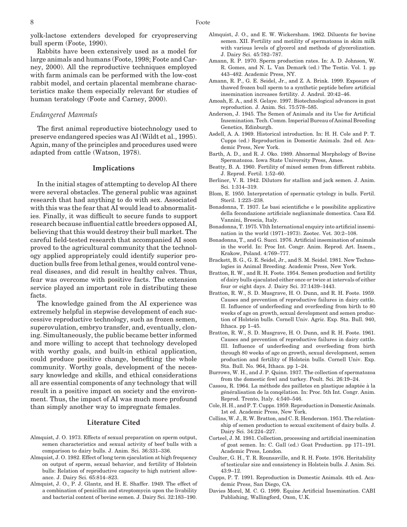yolk-lactose extenders developed for cryopreserving bull sperm (Foote, 1990).

Rabbits have been extensively used as a model for large animals and humans (Foote, 1998; Foote and Carney, 2000). All the reproductive techniques employed with farm animals can be performed with the low-cost rabbit model, and certain placental membrane characteristics make them especially relevant for studies of human teratology (Foote and Carney, 2000).

## *Endangered Mammals*

The first animal reproductive biotechnology used to preserve endangered species was AI (Wildt et al., 1995). Again, many of the principles and procedures used were adapted from cattle (Watson, 1978).

## **Implications**

In the initial stages of attempting to develop AI there were several obstacles. The general public was against research that had anything to do with sex. Associated with this was the fear that AI would lead to abnormalities. Finally, it was difficult to secure funds to support research because influential cattle breeders opposed AI, believing that this would destroy their bull market. The careful field-tested research that accompanied AI soon proved to the agricultural community that the technology applied appropriately could identify superior production bulls free from lethal genes, would control venereal diseases, and did result in healthy calves. Thus, fear was overcome with positive facts. The extension service played an important role in distributing these facts.

The knowledge gained from the AI experience was extremely helpful in stepwise development of each successive reproductive technology, such as frozen semen, superovulation, embryo transfer, and, eventually, cloning. Simultaneously, the public became better informed and more willing to accept that technology developed with worthy goals, and built-in ethical application, could produce positive change, benefiting the whole community. Worthy goals, development of the necessary knowledge and skills, and ethical considerations all are essential components of any technology that will result in a positive impact on society and the environment. Thus, the impact of AI was much more profound than simply another way to impregnate females.

#### **Literature Cited**

- Almquist, J. O. 1973. Effects of sexual preparation on sperm output, semen characteristics and sexual activity of beef bulls with a comparison to dairy bulls. J. Anim. Sci. 36:331–336.
- Almquist, J. O. 1982. Effect of long term ejaculation at high frequency on output of sperm, sexual behavior, and fertility of Holstein bulls: Relation of reproductive capacity to high nutrient allowance. J. Dairy Sci. 65:814–823.
- Almquist, J. O., P. J. Glantz, and H. E. Shaffer. 1949. The effect of a combination of penicillin and streptomycin upon the livability and bacterial content of bovine semen. J. Dairy Sci. 32:183–190.
- Almquist, J. O., and E. W. Wickersham. 1962. Diluents for bovine semen. XII. Fertility and motility of spermatozoa in skim milk with various levels of glycerol and methods of glycerolization. J. Dairy Sci. 45:782–787.
- Amann, R. P. 1970. Sperm production rates. In: A. D. Johnson, W. R. Gomes, and N. L. Van Demark (ed.) The Testis. Vol. 1. pp 443–482. Academic Press, NY.
- Amann, R. P., G. E. Seidel, Jr., and Z. A. Brink. 1999. Exposure of thawed frozen bull sperm to a synthetic peptide before artificial insemination increases fertility. J. Androl. 20:42–46.
- Amoah, E. A., and S. Gelaye. 1997. Biotechnological advances in goat reproduction. J. Anim. Sci. 75:578–585.
- Anderson, J. 1945. The Semen of Animals and its Use for Artificial Insemination. Tech. Comm. Imperial Bureau of Animal Breeding Genetics, Edinburgh.
- Asdell, A. A. 1969. Historical introduction. In: H. H. Cole and P. T. Cupps (ed.) Reproduction in Domestic Animals. 2nd ed. Academic Press, New York.
- Barth, A. D., and R. J. Oko. 1989. Abnormal Morphology of Bovine Spermatozoa. Iowa State University Press, Ames.
- Beatty, B. A. 1960. Fertility of mixed semen from different rabbits. J. Reprod. Fertil. 1:52–60.
- Berliner, V. R. 1942. Dilutors for stallion and jack semen. J. Anim. Sci. 1:314–319.
- Blom, E. 1950. Interpretation of spermatic cytology in bulls. Fertil. Steril. 1:223–238.
- Bonadonna, T. 1937. Le basi scientifiche e le possibilite applicative della fecondazione artificiale neglianimale domestica. Casa Ed. Vannini, Brescia, Italy.
- Bonadonna, T. 1975. VIth International enquiry into artificial insemination in the world (1971–1973). Zootec. Vet. 30:2–108.
- Bonadonna, T., and G. Succi. 1976. Artificial insemination of animals in the world. In: Proc Int. Congr. Anim. Reprod. Art. Insem., Krakow, Poland. 4:769–777.
- Brackett, B. G., G. E. Seidel, Jr., and S. M. Seidel. 1981. New Technologies in Animal Breeding. Academic Press, New York.
- Bratton, R. W., and R. H. Foote. 1954. Semen production and fertility of dairy bulls ejaculated either once or twice at intervals of either four or eight days. J. Dairy Sci. 37:1439–1443.
- Bratton, R. W., S. D. Musgrave, H. O. Dunn, and R. H. Foote. 1959. Causes and prevention of reproductive failures in dairy cattle. II. Influence of underfeeding and overfeeding from birth to 80 weeks of age on growth, sexual development and semen production of Holstein bulls. Cornell Univ. Agric. Exp. Sta. Bull. 940, Ithaca. pp 1–45.
- Bratton, R. W., S. D. Musgrave, H. O. Dunn, and R. H. Foote. 1961. Causes and prevention of reproductive failures in dairy cattle. III. Influence of underfeeding and overfeeding from birth through 80 weeks of age on growth, sexual development, semen production and fertility of Holstein bulls. Cornell Univ. Exp. Sta. Bull. No. 964, Ithaca. pp 1–24.
- Burrows, W. H., and J. P. Quinn. 1937. The collection of spermatozoa from the domestic fowl and turkey. Poult. Sci. 26:19–24.
- Cassou, R. 1964. La méthode des pailletes en plastique adaptée à la généralisation de la conqélation. In: Proc. 5th Int. Congr. Anim. Reprod. Trento, Italy. 4:540–546.
- Cole, H. H., and P. T. Cupps. 1959. Reproduction in Domestic Animals. 1st ed. Academic Press, New York.
- Collins, W. J., R. W. Bratton, and C. R. Henderson. 1951. The relationship of semen production to sexual excitement of dairy bulls. J. Dairy Sci. 34:224–227.
- Corteel, J. M. 1981. Collection, processing and artificial insemination of goat semen. In: C. Gall (ed.) Goat Production. pp 171–191. Academic Press, London.
- Coulter, G. H., T. R. Rounsaville, and R. H. Foote. 1976. Heritability of testicular size and consistency in Holstein bulls. J. Anim. Sci. 43:9–12.
- Cupps, P. T. 1991. Reproduction in Domestic Animals. 4th ed. Academic Press, San Diego, CA.
- Davies Morel, M. C. G. 1999. Equine Artificial Insemination. CABI Publishing, Wallingford, Oxon, U.K.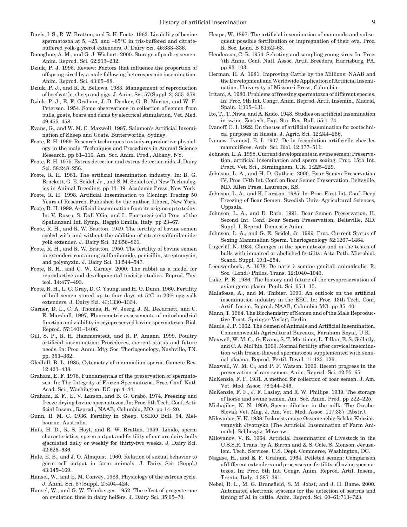- Davis, I. S., R. W. Bratton, and R. H. Foote. 1963. Livability of bovine spermatozoa at 5, -25, and -85°C in tris-buffered and citratebuffered yolk-glycerol extenders. J. Dairy Sci. 46:333–336.
- Donoghue, A. M., and G. J. Wishart. 2000. Storage of poultry semen. Anim. Reprod. Sci. 62:213–232.
- Dziuk, P. J. 1996. Review: Factors that influence the proportion of offspring sired by a male following heterospermic insemination. Anim. Reprod. Sci. 43:65–88.
- Dziuk, P. J., and R. A. Bellows. 1983. Management of reproduction of beef cattle, sheep and pigs. J. Anim. Sci. 57(Suppl. 2):355–379.
- Dziuk, P. J., E. F. Graham, J. D. Donker, G. B. Marion, and W. E. Petersen. 1954. Some observations in collection of semen from bulls, goats, boars and rams by electrical stimulation. Vet. Med. 49:455–458.
- Evans, G., and W. M. C. Maxwell. 1987. Salamon's Artificial Insemination of Sheep and Goats. Butterworths, Sydney.
- Foote, R. H. 1969. Research techniques to study reproductive physiology in the male. Techniques and Procedures in Animal Science Research. pp 81–110. Am. Soc. Anim. Prod., Albany, NY.
- Foote, R. H. 1975. Estrus detection and estrus detection aids. J. Dairy Sci. 58:248–256.
- Foote, R. H. 1981. The artificial insemination industry. In: B. G. Brackett, G. E. Seidel, Jr., and S. M. Seidel (ed.) New Technologies in Animal Breeding. pp 13–39. Academic Press, New York.
- Foote, R. H. 1998. Artificial Insemination to Cloning: Tracing 50 Years of Research. Published by the author, Ithaca, New York.
- Foote, R. H. 1999. Artificial insemination from its origins up to today. In: V. Russo, S. Dall 'Olio, and L. Fontanesi (ed.) Proc. of the Spallanzani Int. Symp., Reggio Emilia, Italy. pp 23–67.
- Foote, R. H., and R. W. Bratton. 1949. The fertility of bovine semen cooled with and without the addition of citrate-sulfanilamideyolk extender. J. Dairy Sci. 32:856–861.
- Foote, R. H., and R. W. Bratton. 1950. The fertility of bovine semen in extenders containing sulfanilamide, penicillin, streptomycin, and polymyxin. J. Dairy Sci. 33:544–547.
- Foote, R. H., and C. W. Carney. 2000. The rabbit as a model for reproductive and developmental toxicity studies. Reprod. Toxicol. 14:477–493.
- Foote, R. H., L. C. Gray, D. C. Young, and H. O. Dunn. 1960. Fertility of bull semen stored up to four days at 5°C in 20% egg yolk extenders. J. Dairy Sci. 43:1330–1334.
- Garner, D. L., C. A. Thomas, H. W. Joerg, J. M. DeJarnett, and C. E. Marshall. 1997. Fluorometric assessments of mitochondrial function and viability in cryopreserved bovine spermatozoa. Biol. Reprod. 57:1401–1406.
- Gill, S. P., R. H. Hammerstedt, and R. P. Amann. 1999. Poultry artificial insemination: Procedures, current status and future needs. In: Proc. Annu. Mtg. Soc. Theriogenology, Nashville, TN. pp. 353–362.
- Gledhill, B. L. 1985. Cytometry of mammalian sperm. Gamete Res. 12:423–438.
- Graham, E. F. 1978. Fundamentals of the preservation of spermatozoa. In: The Integrity of Frozen Spermatozoa. Proc. Conf. Natl. Acad. Sci., Washington, DC. pp 4–44.
- Graham, E. F., E. V. Larson, and B. G. Crabo. 1974. Freezing and freeze-drying bovine spermatozoa. In: Proc. 5th Tech. Conf. Artificial Insem., Reprod., NAAB, Columbia, MO. pp 14–20.
- Gunn, R. M. C. 1936. Fertility in Sheep. CSIRO Bull. 94, Melbourne, Australia.
- Hafs, H. D., R. S. Hoyt, and R. W. Bratton. 1959. Libido, sperm characteristics, sperm output and fertility of mature dairy bulls ejaculated daily or weekly for thirty-two weeks. J. Dairy Sci. 42:626–636.
- Hale, E. B., and J. O. Almquist. 1960. Relation of sexual behavior to germ cell output in farm animals. J. Dairy Sci. (Suppl.) 43:145–169.
- Hansel, W., and E. M. Convey. 1983. Physiology of the estrous cycle. J. Anim. Sci. 57(Suppl. 2):404–424.
- Hansel, W., and G. W. Trimberger. 1952. The effect of progesterone on ovulation time in dairy heifers. J. Dairy Sci. 35:65–70.
- Heape, W. 1897. The artificial insemination of mammals and subsequent possible fertilization or impregnation of their ova. Proc. R. Soc. Lond. B 61:52–63.
- Henderson, C. R. 1954. Selecting and sampling young sires. In: Proc. 7th Annu. Conf. Natl. Assoc. Artif. Breeders, Harrisburg, PA. pp 93–103.
- Herman, H. A. 1981. Improving Cattle by the Millions: NAAB and the Development and Worldwide Application of Artificial Insemination. University of Missouri Press, Columbia.
- Iritani, A. 1980. Problems of freezing spermatozoa of different species. In: Proc. 9th Int. Congr. Anim. Reprod. Artif. Insemin., Madrid, Spain. 1:115–131.
- Ito, T., T. Niwa, and A. Kudo. 1948. Studies on artificial insemination in swine. Zootech. Exp. Sta. Res. Bull. 55:1–74.
- Ivanoff, E. I. 1922. On the use of artificial insemination for zootechnical purposes in Russia. J. Agric. Sci. 12:244–256.
- Ivanow [Ivanov], E. I. 1907. De la fécondation artificielle chez les mammifères. Arch. Sci. Biol. 12:377-511.
- Johnson, L. A. 1998. Current developments in swine semen: Preservation, artificial insemination and sperm sexing. Proc. 15th Int. Pract. Vet. Sci., Birmingham, U.K. 1:225–229.
- Johnson, L. A., and H. D. Guthrie. 2000. Boar Semen Preservation IV. Proc. IVth Int. Conf. on Boar Semen Preservation, Beltsville, MD. Allen Press, Laurence, KS.
- Johnson, L. A., and K. Larsson. 1985. In: Proc. First Int. Conf. Deep Freezing of Boar Semen. Swedish Univ. Agricultural Sciences, Uppsala.
- Johnson, L. A., and D. Rath. 1991. Boar Semen Preservation. II. Second Int. Conf. Boar Semen Preservation, Beltsville, MD. Suppl. I, Reprod. Domestic Anim.
- Johnson, L. A., and G. E. Seidel, Jr. 1999. Proc. Current Status of Sexing Mammalian Sperm. Theriogenology 52:1267–1484.
- Lagerlöf, N. 1934. Changes in the spermatozoa and in the testes of bulls with impaired or abolished fertility. Acta Path. Microbiol. Scand. Suppl. 19:1–254.
- Leeuwenhoek, A. 1678. De natis è semine genitali animalculis. R. Soc. (Lond.) Philos. Trans. 12:1040–1043.
- Lake, P. E. 1986. The history and future of the cryopreservation of avian germ plasm. Poult. Sci. 65:1–15.
- Malafosse, A., and M. Thibier. 1990. An outlook on the artificial insemination industry in the EEC. In: Proc. 13th Tech. Conf. Artif. Insem. Reprod. NAAB, Columbia MO. pp 35–40.
- Mann, T. 1964. The Biochemistry of Semen and of the Male Reproductive Tract. Springer-Verlag, Berlin.
- Maule, J. P. 1962. The Semen of Animals and Artificial Insemination. Commonwealth Agricultural Bureaux, Farnham Royal, U.K.
- Maxwell, W. M. C., G. Evans, S. T. Mortimer, L. Tillan, E. S. Gellatly, and C. A. McPhie. 1999. Normal fertility after cervical insemination with frozen-thawed spermatozoa supplemented with seminal plasma. Reprod. Fertil. Devel. 11:123–126.
- Maxwell, W. M. C., and P. F. Watson. 1996. Recent progress in the preservation of ram semen. Anim. Reprod. Sci. 42:55–65.
- McKenzie, F. F. 1931. A method for collection of boar semen. J. Am. Vet. Med. Assoc. 78:244–246.
- McKenzie, F. F., J. F. Lasley, and R. W. Phillips. 1939. The storage of horse and swine semen. Am. Soc. Anim. Prod. pp 222–225.
- Michajilov, N. N. 1950. Sperm dilution in the milk. The Czecho-Slovak Vet. Mag. J. Am. Vet. Med. Assoc. 117:337 (Abstr.).
- Milovanov, V. K. 1938. Isskusstvenoye Ossemenebie Selsko-Khoziasvennykh Jivotnykh [The Artificial Insemination of Farm Animals]. Seljhozgiz, Mowcow.
- Milovanov, V. K. 1964. Artificial Insemination of Livestock in the U.S.S.R. Trans. by A. Birron and Z. S. Cole. S. Monson, Jerusalem. Tech. Services, U.S. Dept. Commerce, Washington, DC.
- Nagase, H., and E. F. Graham. 1964. Pelleted semen: Comparison of different extenders and processes on fertility of bovine spermatozoa. In: Proc. 5th Int. Congr. Anim. Reprod. Artif. Insem., Trento, Italy. 4:387–391.
- Nebel, R. L., M. G. Dransfield, S. M. Jobst, and J. H. Bame. 2000. Automated electronic systems for the detection of oestrus and timing of AI in cattle. Anim. Reprod. Sci. 60–61:713–723.